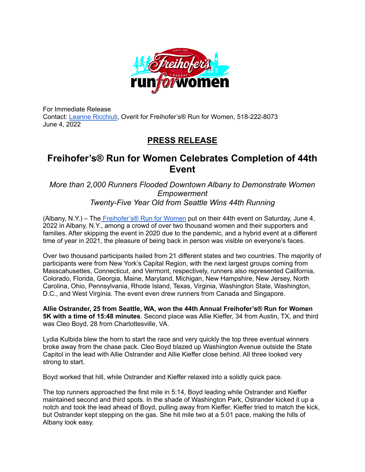

For Immediate Release Contact: Leanne [Ricchiuti](mailto:leanne.ricchiuti@overit.com), Overit for Freihofer's® Run for Women, 518-222-8073 June 4, 2022

## **PRESS RELEASE**

## **Freihofer's® Run for Women Celebrates Completion of 44th Event**

## *More than 2,000 Runners Flooded Downtown Albany to Demonstrate Women Empowerment Twenty-Five Year Old from Seattle Wins 44th Running*

(Albany, N.Y.) – The [Freihofer's®](https://freihofersrun.com/) Run for Women put on their 44th event on Saturday, June 4, 2022 in Albany, N.Y., among a crowd of over two thousand women and their supporters and families. After skipping the event in 2020 due to the pandemic, and a hybrid event at a different time of year in 2021, the pleasure of being back in person was visible on everyone's faces.

Over two thousand participants hailed from 21 different states and two countries. The majority of participants were from New York's Capital Region, with the next largest groups coming from Masscahusettes, Connecticut, and Vermont, respectively, runners also represented California, Colorado, Florida, Georgia, Maine, Maryland, Michigan, New Hampshire, New Jersey, North Carolina, Ohio, Pennsylvania, Rhode Island, Texas, Virginia, Washington State, Washington, D.C., and West Virginia. The event even drew runners from Canada and Singapore.

**Allie Ostrander, 25 from Seattle, WA, won the 44th Annual Freihofer's® Run for Women 5K with a time of 15:48 minutes**. Second place was Allie Kieffer, 34 from Austin, TX, and third was Cleo Boyd, 28 from Charlottesville, VA.

Lydia Kulbida blew the horn to start the race and very quickly the top three eventual winners broke away from the chase pack. Cleo Boyd blazed up Washington Avenue outside the State Capitol in the lead with Allie Ostrander and Allie Kieffer close behind. All three looked very strong to start.

Boyd worked that hill, while Ostrander and Kieffer relaxed into a solidly quick pace.

The top runners approached the first mile in 5:14, Boyd leading while Ostrander and Kieffer maintained second and third spots. In the shade of Washington Park, Ostrander kicked it up a notch and took the lead ahead of Boyd, pulling away from Kieffer. Kieffer tried to match the kick, but Ostrander kept stepping on the gas. She hit mile two at a 5:01 pace, making the hills of Albany look easy.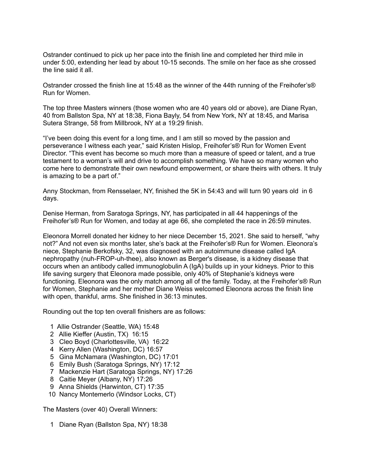Ostrander continued to pick up her pace into the finish line and completed her third mile in under 5:00, extending her lead by about 10-15 seconds. The smile on her face as she crossed the line said it all.

Ostrander crossed the finish line at 15:48 as the winner of the 44th running of the Freihofer's® Run for Women.

The top three Masters winners (those women who are 40 years old or above), are Diane Ryan, 40 from Ballston Spa, NY at 18:38, Fiona Bayly, 54 from New York, NY at 18:45, and Marisa Sutera Strange, 58 from Millbrook, NY at a 19:29 finish.

"I've been doing this event for a long time, and I am still so moved by the passion and perseverance I witness each year," said Kristen Hislop, Freihofer's® Run for Women Event Director. "This event has become so much more than a measure of speed or talent, and a true testament to a woman's will and drive to accomplish something. We have so many women who come here to demonstrate their own newfound empowerment, or share theirs with others. It truly is amazing to be a part of."

Anny Stockman, from Rensselaer, NY, finished th[e](https://www.facebook.com/freihofersrun/?__cft__%5B0%5D=AZVDs0ed9XxH48TM-2_ZV-1DSOXUVM009C7glRpPqvjSEDu8a_CHmCClIsykvs1k2KyDg0a8diidxoaTQSIpbjLVw0MHiaiZhK1rN42WZsjomR-k65_ix6a7OfI43FqP1Yvz1Sc0pUCG3AtKtFPKTsQzpjFNRukGSiGxXT0qQq2jvw12aB8U2ClIblWFBfWzcJg&__tn__=kK-R) 5K in 54:43 and will turn 90 years old in 6 days.

Denise Herman, from Saratoga Springs, NY, has participated in all 44 happenings of the Freihofer's® Run for Women, and today at age 66, she completed the race in 26:59 minutes.

Eleonora Morrell donated her kidney to her niece December 15, 2021. She said to herself, "why not?" And not even six months later, she's back at the Freihofer's® Run for Women. Eleonora's niece, Stephanie Berkofsky, 32, was diagnosed with an autoimmune disease called IgA nephropathy (nuh-FROP-uh-thee), also known as Berger's disease, is a kidney disease that occurs when an antibody called immunoglobulin A (IgA) builds up in your kidneys. Prior to this life saving surgery that Eleonora made possible, only 40% of Stephanie's kidneys were functioning. Eleonora was the only match among all of the family. Today, at the Freihofer's® Run for Women, Stephanie and her mother Diane Weiss welcomed Eleonora across the finish line with open, thankful, arms. She finished in 36:13 minutes.

Rounding out the top ten overall finishers are as follows:

- 1 Allie Ostrander (Seattle, WA) 15:48
- 2 Allie Kieffer (Austin, TX) 16:15
- 3 Cleo Boyd (Charlottesville, VA) 16:22
- 4 Kerry Allen (Washington, DC) 16:57
- 5 Gina McNamara (Washington, DC) 17:01
- 6 Emily Bush (Saratoga Springs, NY) 17:12
- 7 Mackenzie Hart (Saratoga Springs, NY) 17:26
- 8 Caitie Meyer (Albany, NY) 17:26
- 9 Anna Shields (Harwinton, CT) 17:35
- 10 Nancy Montemerlo (Windsor Locks, CT)

The Masters (over 40) Overall Winners:

1 Diane Ryan (Ballston Spa, NY) 18:38